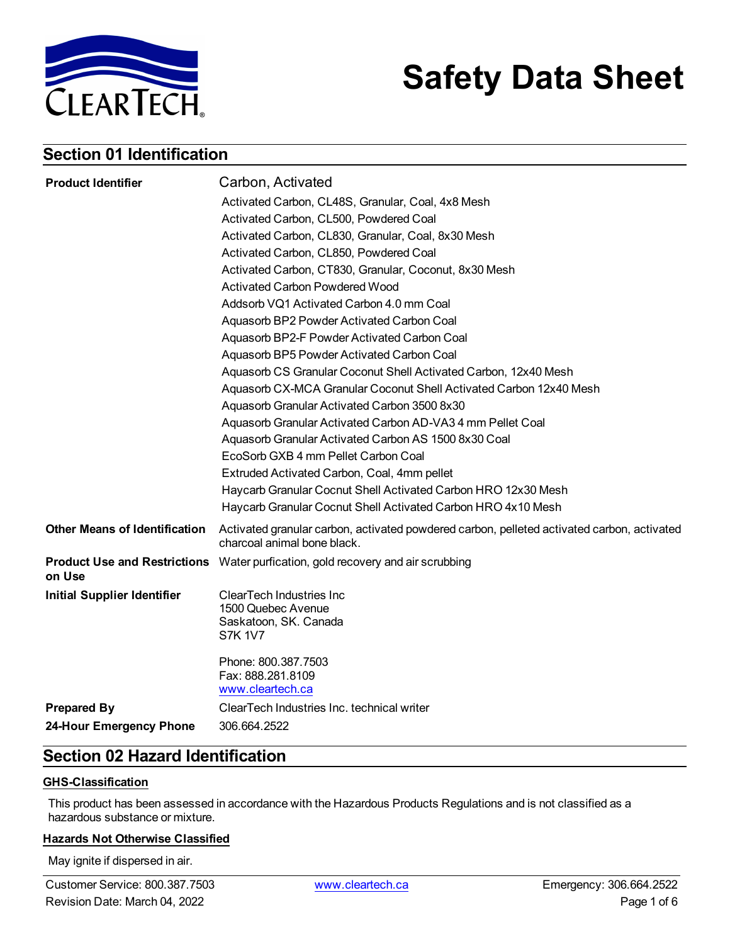

# **Safety Data Sheet**

### **Section 01 Identification**

| Carbon, Activated<br><b>Product Identifier</b>                                                                                                                    |  |
|-------------------------------------------------------------------------------------------------------------------------------------------------------------------|--|
| Activated Carbon, CL48S, Granular, Coal, 4x8 Mesh                                                                                                                 |  |
| Activated Carbon, CL500, Powdered Coal                                                                                                                            |  |
| Activated Carbon, CL830, Granular, Coal, 8x30 Mesh                                                                                                                |  |
| Activated Carbon, CL850, Powdered Coal                                                                                                                            |  |
| Activated Carbon, CT830, Granular, Coconut, 8x30 Mesh                                                                                                             |  |
| <b>Activated Carbon Powdered Wood</b>                                                                                                                             |  |
| Addsorb VQ1 Activated Carbon 4.0 mm Coal                                                                                                                          |  |
| Aquasorb BP2 Powder Activated Carbon Coal                                                                                                                         |  |
| Aquasorb BP2-F Powder Activated Carbon Coal                                                                                                                       |  |
| Aquasorb BP5 Powder Activated Carbon Coal                                                                                                                         |  |
| Aquasorb CS Granular Coconut Shell Activated Carbon, 12x40 Mesh                                                                                                   |  |
| Aquasorb CX-MCA Granular Coconut Shell Activated Carbon 12x40 Mesh                                                                                                |  |
| Aquasorb Granular Activated Carbon 3500 8x30                                                                                                                      |  |
| Aquasorb Granular Activated Carbon AD-VA34 mm Pellet Coal                                                                                                         |  |
| Aquasorb Granular Activated Carbon AS 1500 8x30 Coal                                                                                                              |  |
| EcoSorb GXB 4 mm Pellet Carbon Coal                                                                                                                               |  |
| Extruded Activated Carbon, Coal, 4mm pellet                                                                                                                       |  |
| Haycarb Granular Cocnut Shell Activated Carbon HRO 12x30 Mesh                                                                                                     |  |
| Haycarb Granular Cocnut Shell Activated Carbon HRO 4x10 Mesh                                                                                                      |  |
| <b>Other Means of Identification</b><br>Activated granular carbon, activated powdered carbon, pelleted activated carbon, activated<br>charcoal animal bone black. |  |
| <b>Product Use and Restrictions</b> Water purfication, gold recovery and air scrubbing<br>on Use                                                                  |  |
| <b>Initial Supplier Identifier</b><br><b>ClearTech Industries Inc</b><br>1500 Quebec Avenue<br>Saskatoon, SK. Canada<br><b>S7K 1V7</b>                            |  |
| Phone: 800.387.7503<br>Fax: 888.281.8109<br>www.cleartech.ca                                                                                                      |  |
| ClearTech Industries Inc. technical writer                                                                                                                        |  |
| <b>Prepared By</b>                                                                                                                                                |  |

### **Section 02 Hazard Identification**

#### **GHS-Classification**

This product has been assessed in accordance with the Hazardous Products Regulations and is not classified as a hazardous substance or mixture.

#### **Hazards Not Otherwise Classified**

May ignite if dispersed in air.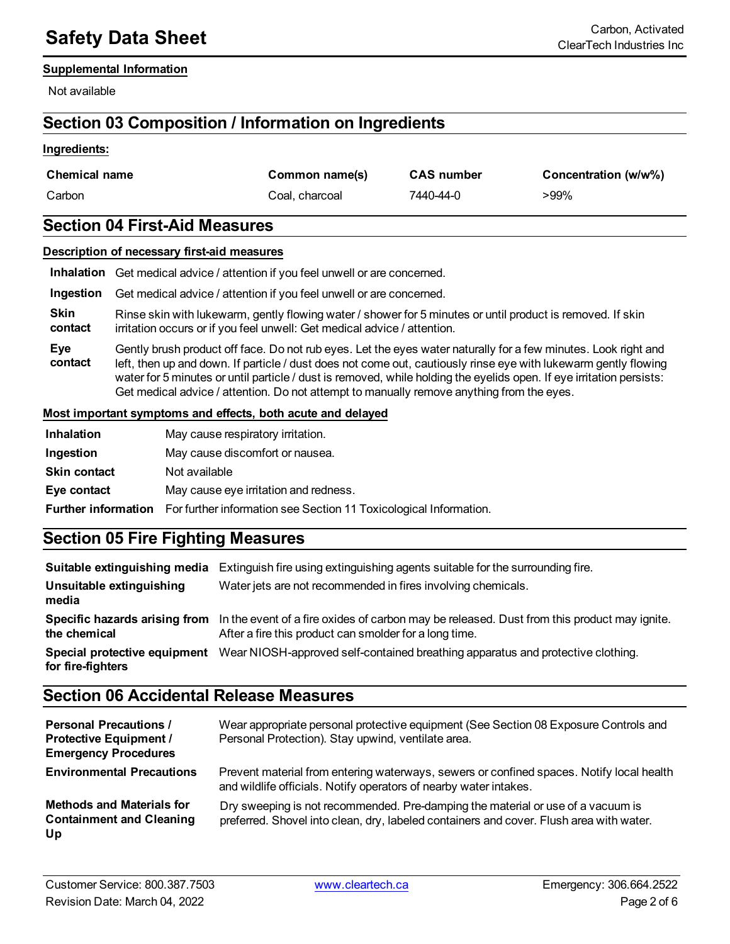#### **Supplemental Information**

Not available

### **Section 03 Composition / Information on Ingredients**

#### **Ingredients:**

| <b>Chemical name</b> | Common name(s) | <b>CAS</b> number | Concentration (w/w%) |
|----------------------|----------------|-------------------|----------------------|
| Carbon               | Coal. charcoal | 7440-44-0         | >99%                 |

### **Section 04 First-Aid Measures**

|                        | Description of necessary first-aid measures                                                                                                                                                                                                                                                                                                                                                                                                            |
|------------------------|--------------------------------------------------------------------------------------------------------------------------------------------------------------------------------------------------------------------------------------------------------------------------------------------------------------------------------------------------------------------------------------------------------------------------------------------------------|
| Inhalation             | Get medical advice / attention if you feel unwell or are concerned.                                                                                                                                                                                                                                                                                                                                                                                    |
| Ingestion              | Get medical advice / attention if you feel unwell or are concerned.                                                                                                                                                                                                                                                                                                                                                                                    |
| <b>Skin</b><br>contact | Rinse skin with lukewarm, gently flowing water / shower for 5 minutes or until product is removed. If skin<br>irritation occurs or if you feel unwell: Get medical advice / attention.                                                                                                                                                                                                                                                                 |
| Eye<br>contact         | Gently brush product off face. Do not rub eyes. Let the eyes water naturally for a few minutes. Look right and<br>left, then up and down. If particle / dust does not come out, cautiously rinse eye with lukewarm gently flowing<br>water for 5 minutes or until particle / dust is removed, while holding the eyelids open. If eye irritation persists:<br>Get medical advice / attention. Do not attempt to manually remove anything from the eyes. |

#### **Most important symptoms and effects, both acute and delayed**

| <b>Inhalation</b>   | May cause respiratory irritation.                                                            |
|---------------------|----------------------------------------------------------------------------------------------|
| Ingestion           | May cause discomfort or nausea.                                                              |
| <b>Skin contact</b> | Not available                                                                                |
| Eye contact         | May cause eye irritation and redness.                                                        |
|                     | <b>Further information</b> For further information see Section 11 Toxicological Information. |

### **Section 05 Fire Fighting Measures**

|                                   | <b>Suitable extinguishing media</b> Extinguish fire using extinguishing agents suitable for the surrounding fire.                                                                   |
|-----------------------------------|-------------------------------------------------------------------------------------------------------------------------------------------------------------------------------------|
| Unsuitable extinguishing<br>media | Water jets are not recommended in fires involving chemicals.                                                                                                                        |
| the chemical                      | Specific hazards arising from In the event of a fire oxides of carbon may be released. Dust from this product may ignite.<br>After a fire this product can smolder for a long time. |
| for fire-fighters                 | Special protective equipment Wear NIOSH-approved self-contained breathing apparatus and protective clothing.                                                                        |

### **Section 06 Accidental Release Measures**

| <b>Personal Precautions /</b><br><b>Protective Equipment /</b><br><b>Emergency Procedures</b> | Wear appropriate personal protective equipment (See Section 08 Exposure Controls and<br>Personal Protection). Stay upwind, ventilate area.                                 |
|-----------------------------------------------------------------------------------------------|----------------------------------------------------------------------------------------------------------------------------------------------------------------------------|
| <b>Environmental Precautions</b>                                                              | Prevent material from entering waterways, sewers or confined spaces. Notify local health<br>and wildlife officials. Notify operators of nearby water intakes.              |
| <b>Methods and Materials for</b><br><b>Containment and Cleaning</b><br>Up                     | Dry sweeping is not recommended. Pre-damping the material or use of a vacuum is<br>preferred. Shovel into clean, dry, labeled containers and cover. Flush area with water. |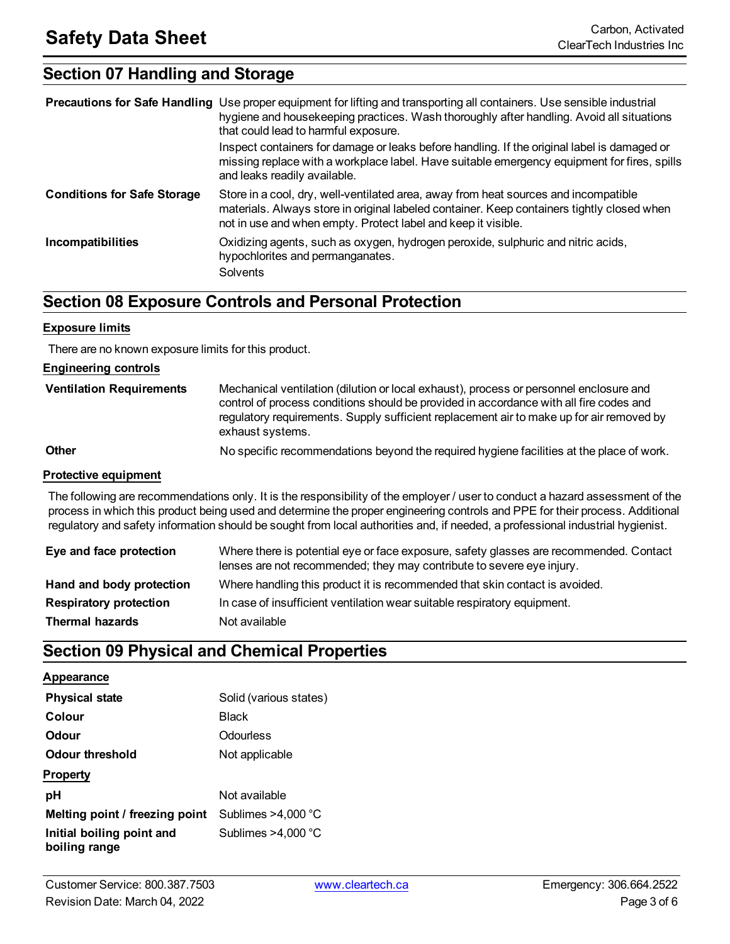### **Section 07 Handling and Storage**

|                                    | <b>Precautions for Safe Handling</b> Use proper equipment for lifting and transporting all containers. Use sensible industrial<br>hygiene and housekeeping practices. Wash thoroughly after handling. Avoid all situations<br>that could lead to harmful exposure.<br>Inspect containers for damage or leaks before handling. If the original label is damaged or<br>missing replace with a workplace label. Have suitable emergency equipment for fires, spills<br>and leaks readily available. |
|------------------------------------|--------------------------------------------------------------------------------------------------------------------------------------------------------------------------------------------------------------------------------------------------------------------------------------------------------------------------------------------------------------------------------------------------------------------------------------------------------------------------------------------------|
| <b>Conditions for Safe Storage</b> | Store in a cool, dry, well-ventilated area, away from heat sources and incompatible<br>materials. Always store in original labeled container. Keep containers tightly closed when<br>not in use and when empty. Protect label and keep it visible.                                                                                                                                                                                                                                               |
| <b>Incompatibilities</b>           | Oxidizing agents, such as oxygen, hydrogen peroxide, sulphuric and nitric acids,<br>hypochlorites and permanganates.<br><b>Solvents</b>                                                                                                                                                                                                                                                                                                                                                          |

### **Section 08 Exposure Controls and Personal Protection**

#### **Exposure limits**

There are no known exposure limits for this product.

#### **Engineering controls**

| <b>Ventilation Requirements</b> | Mechanical ventilation (dilution or local exhaust), process or personnel enclosure and<br>control of process conditions should be provided in accordance with all fire codes and<br>regulatory requirements. Supply sufficient replacement air to make up for air removed by<br>exhaust systems. |
|---------------------------------|--------------------------------------------------------------------------------------------------------------------------------------------------------------------------------------------------------------------------------------------------------------------------------------------------|
| <b>Other</b>                    | No specific recommendations beyond the required hygiene facilities at the place of work.                                                                                                                                                                                                         |

#### **Protective equipment**

The following are recommendations only. It is the responsibility of the employer / user to conduct a hazard assessment of the process in which this product being used and determine the proper engineering controls and PPE for their process. Additional regulatory and safety information should be sought from local authorities and, if needed, a professional industrial hygienist.

| Eye and face protection       | Where there is potential eye or face exposure, safety glasses are recommended. Contact<br>lenses are not recommended; they may contribute to severe eye injury. |
|-------------------------------|-----------------------------------------------------------------------------------------------------------------------------------------------------------------|
| Hand and body protection      | Where handling this product it is recommended that skin contact is avoided.                                                                                     |
| <b>Respiratory protection</b> | In case of insufficient ventilation wear suitable respiratory equipment.                                                                                        |
| <b>Thermal hazards</b>        | Not available                                                                                                                                                   |

### **Section 09 Physical and Chemical Properties**

#### **Appearance**

| <b>Physical state</b>                      | Solid (various states) |
|--------------------------------------------|------------------------|
| Colour                                     | <b>Black</b>           |
| Odour                                      | Odourless              |
| Odour threshold                            | Not applicable         |
| <b>Property</b>                            |                        |
| рH                                         | Not available          |
| Melting point / freezing point             | Sublimes $>4,000$ °C   |
| Initial boiling point and<br>boiling range | Sublimes $>4,000$ °C   |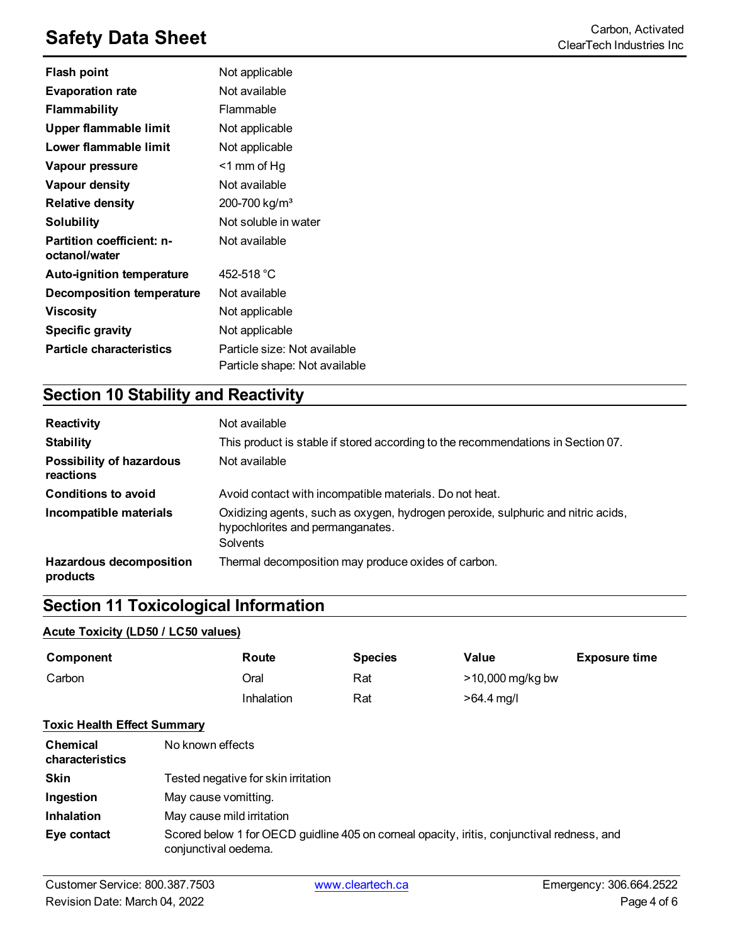# **Safety Data Sheet**<br>ClearTech Industries Inc

| <b>Flash point</b>                         | Not applicable                                                |
|--------------------------------------------|---------------------------------------------------------------|
| <b>Evaporation rate</b>                    | Not available                                                 |
| <b>Flammability</b>                        | Flammable                                                     |
| Upper flammable limit                      | Not applicable                                                |
| Lower flammable limit                      | Not applicable                                                |
| Vapour pressure                            | $<$ 1 mm of Hg                                                |
| Vapour density                             | Not available                                                 |
| <b>Relative density</b>                    | 200-700 kg/m <sup>3</sup>                                     |
| <b>Solubility</b>                          | Not soluble in water                                          |
| Partition coefficient: n-<br>octanol/water | Not available                                                 |
| <b>Auto-ignition temperature</b>           | 452-518 °C                                                    |
| <b>Decomposition temperature</b>           | Not available                                                 |
| <b>Viscosity</b>                           | Not applicable                                                |
| <b>Specific gravity</b>                    | Not applicable                                                |
| <b>Particle characteristics</b>            | Particle size: Not available<br>Particle shape: Not available |

### **Section 10 Stability and Reactivity**

| Reactivity                                 | Not available                                                                                                                           |
|--------------------------------------------|-----------------------------------------------------------------------------------------------------------------------------------------|
| <b>Stability</b>                           | This product is stable if stored according to the recommendations in Section 07.                                                        |
| Possibility of hazardous<br>reactions      | Not available                                                                                                                           |
| <b>Conditions to avoid</b>                 | Avoid contact with incompatible materials. Do not heat.                                                                                 |
| Incompatible materials                     | Oxidizing agents, such as oxygen, hydrogen peroxide, sulphuric and nitric acids,<br>hypochlorites and permanganates.<br><b>Solvents</b> |
| <b>Hazardous decomposition</b><br>products | Thermal decomposition may produce oxides of carbon.                                                                                     |

### **Section 11 Toxicological Information**

#### **Acute Toxicity (LD50 / LC50 values)**

| Component                          |                                                                                                                    | Route      | <b>Species</b> | Value            | <b>Exposure time</b> |
|------------------------------------|--------------------------------------------------------------------------------------------------------------------|------------|----------------|------------------|----------------------|
| Carbon                             |                                                                                                                    | Oral       | Rat            | >10,000 mg/kg bw |                      |
|                                    |                                                                                                                    | Inhalation | Rat            | $>64.4$ mg/l     |                      |
| <b>Toxic Health Effect Summary</b> |                                                                                                                    |            |                |                  |                      |
| <b>Chemical</b><br>characteristics | No known effects                                                                                                   |            |                |                  |                      |
| <b>Skin</b>                        | Tested negative for skin irritation                                                                                |            |                |                  |                      |
| Ingestion                          | May cause vomitting.                                                                                               |            |                |                  |                      |
| <b>Inhalation</b>                  | May cause mild irritation                                                                                          |            |                |                  |                      |
| Eye contact                        | Scored below 1 for OECD guidline 405 on corneal opacity, iritis, conjunctival redness, and<br>conjunctival oedema. |            |                |                  |                      |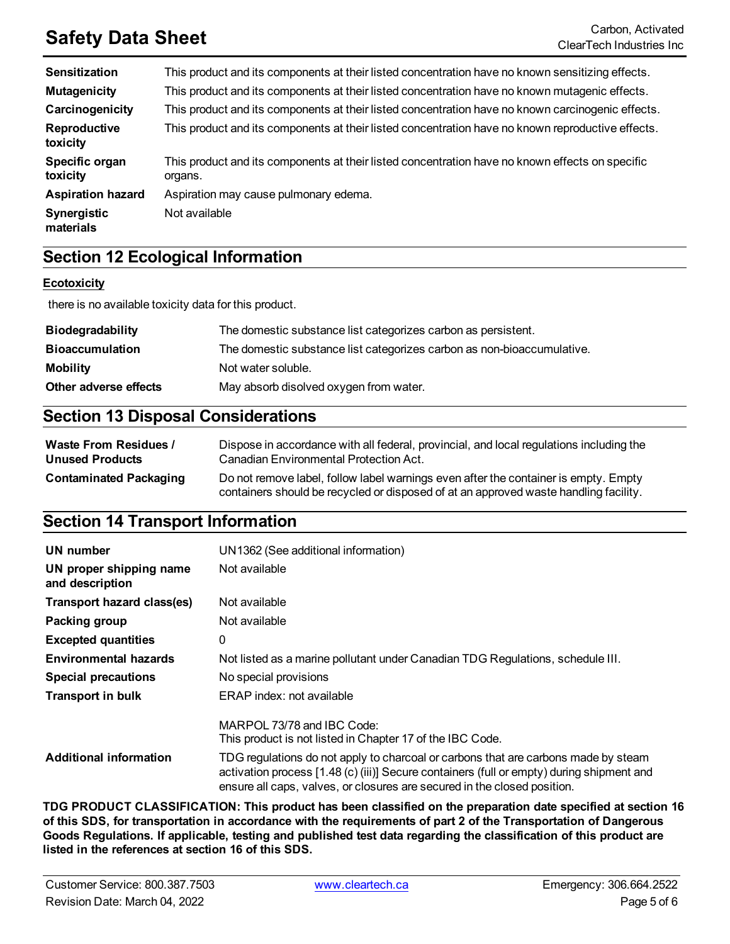# **Safety Data Sheet** Carbon, Activated Carbon, Activated Carbon, Activated Carbon, Activated Carbon, Activated Carbon, Activated Carbon, Activated Carbon, Activated Carbon, Activated Carbon, Activated Carbon, Activated Carb

| <b>Sensitization</b>       | This product and its components at their listed concentration have no known sensitizing effects.           |
|----------------------------|------------------------------------------------------------------------------------------------------------|
| <b>Mutagenicity</b>        | This product and its components at their listed concentration have no known mutagenic effects.             |
| Carcinogenicity            | This product and its components at their listed concentration have no known carcinogenic effects.          |
| Reproductive<br>toxicity   | This product and its components at their listed concentration have no known reproductive effects.          |
| Specific organ<br>toxicity | This product and its components at their listed concentration have no known effects on specific<br>organs. |
| <b>Aspiration hazard</b>   | Aspiration may cause pulmonary edema.                                                                      |
| Synergistic<br>materials   | Not available                                                                                              |

### **Section 12 Ecological Information**

#### **Ecotoxicity**

there is no available toxicity data for this product.

| <b>Biodegradability</b> | The domestic substance list categorizes carbon as persistent.          |
|-------------------------|------------------------------------------------------------------------|
| <b>Bioaccumulation</b>  | The domestic substance list categorizes carbon as non-bioaccumulative. |
| Mobility                | Not water soluble.                                                     |
| Other adverse effects   | May absorb disolved oxygen from water.                                 |

### **Section 13 Disposal Considerations**

| <b>Waste From Residues /</b>  | Dispose in accordance with all federal, provincial, and local regulations including the                                                                                     |
|-------------------------------|-----------------------------------------------------------------------------------------------------------------------------------------------------------------------------|
| <b>Unused Products</b>        | Canadian Environmental Protection Act.                                                                                                                                      |
| <b>Contaminated Packaging</b> | Do not remove label, follow label warnings even after the container is empty. Empty<br>containers should be recycled or disposed of at an approved waste handling facility. |

### **Section 14 Transport Information**

| UN number                                  | UN1362 (See additional information)                                                                                                                                                                                                                         |
|--------------------------------------------|-------------------------------------------------------------------------------------------------------------------------------------------------------------------------------------------------------------------------------------------------------------|
| UN proper shipping name<br>and description | Not available                                                                                                                                                                                                                                               |
| Transport hazard class(es)                 | Not available                                                                                                                                                                                                                                               |
| Packing group                              | Not available                                                                                                                                                                                                                                               |
| <b>Excepted quantities</b>                 | 0                                                                                                                                                                                                                                                           |
| <b>Environmental hazards</b>               | Not listed as a marine pollutant under Canadian TDG Regulations, schedule III.                                                                                                                                                                              |
| <b>Special precautions</b>                 | No special provisions                                                                                                                                                                                                                                       |
| <b>Transport in bulk</b>                   | ERAP index: not available                                                                                                                                                                                                                                   |
|                                            | MARPOL $73/78$ and IBC Code:<br>This product is not listed in Chapter 17 of the IBC Code.                                                                                                                                                                   |
| <b>Additional information</b>              | TDG regulations do not apply to charcoal or carbons that are carbons made by steam<br>activation process [1.48 (c) (iii)] Secure containers (full or empty) during shipment and<br>ensure all caps, valves, or closures are secured in the closed position. |

**TDG PRODUCT CLASSIFICATION: This product has been classified on the preparation date specified at section 16** of this SDS, for transportation in accordance with the requirements of part 2 of the Transportation of Dangerous Goods Regulations. If applicable, testing and published test data regarding the classification of this product are **listed in the references at section 16 of this SDS.**